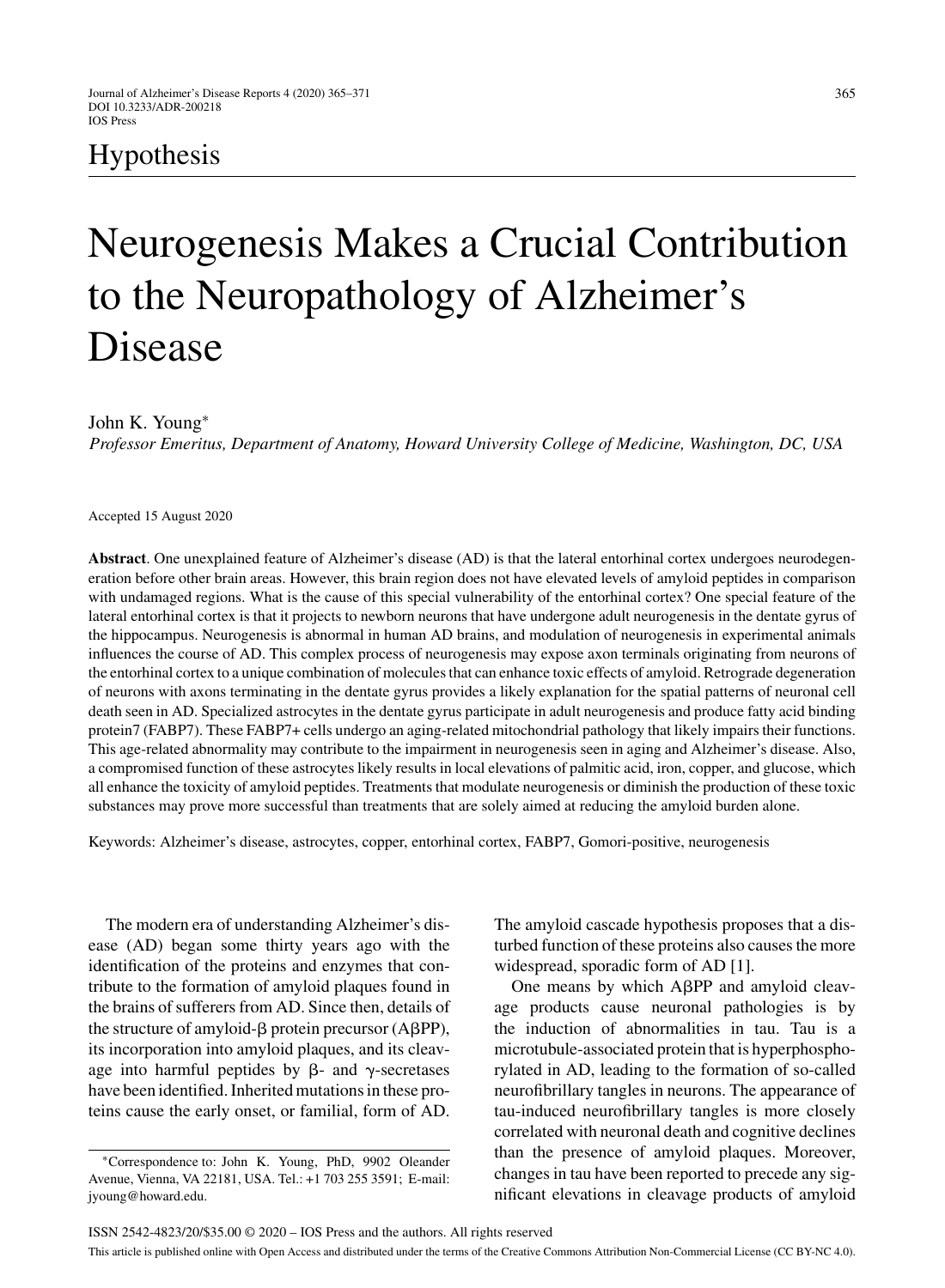## Hypothesis

## Neurogenesis Makes a Crucial Contribution to the Neuropathology of Alzheimer's Disease

John K. Young<sup>∗</sup>

*Professor Emeritus, Department of Anatomy, Howard University College of Medicine, Washington, DC, USA*

Accepted 15 August 2020

**Abstract**. One unexplained feature of Alzheimer's disease (AD) is that the lateral entorhinal cortex undergoes neurodegeneration before other brain areas. However, this brain region does not have elevated levels of amyloid peptides in comparison with undamaged regions. What is the cause of this special vulnerability of the entorhinal cortex? One special feature of the lateral entorhinal cortex is that it projects to newborn neurons that have undergone adult neurogenesis in the dentate gyrus of the hippocampus. Neurogenesis is abnormal in human AD brains, and modulation of neurogenesis in experimental animals influences the course of AD. This complex process of neurogenesis may expose axon terminals originating from neurons of the entorhinal cortex to a unique combination of molecules that can enhance toxic effects of amyloid. Retrograde degeneration of neurons with axons terminating in the dentate gyrus provides a likely explanation for the spatial patterns of neuronal cell death seen in AD. Specialized astrocytes in the dentate gyrus participate in adult neurogenesis and produce fatty acid binding protein7 (FABP7). These FABP7+ cells undergo an aging-related mitochondrial pathology that likely impairs their functions. This age-related abnormality may contribute to the impairment in neurogenesis seen in aging and Alzheimer's disease. Also, a compromised function of these astrocytes likely results in local elevations of palmitic acid, iron, copper, and glucose, which all enhance the toxicity of amyloid peptides. Treatments that modulate neurogenesis or diminish the production of these toxic substances may prove more successful than treatments that are solely aimed at reducing the amyloid burden alone.

Keywords: Alzheimer's disease, astrocytes, copper, entorhinal cortex, FABP7, Gomori-positive, neurogenesis

The modern era of understanding Alzheimer's disease (AD) began some thirty years ago with the identification of the proteins and enzymes that contribute to the formation of amyloid plaques found in the brains of sufferers from AD. Since then, details of the structure of amyloid- $\beta$  protein precursor (A $\beta$ PP), its incorporation into amyloid plaques, and its cleavage into harmful peptides by  $\beta$ - and  $\gamma$ -secretases have been identified. Inherited mutations in these proteins cause the early onset, or familial, form of AD.

The amyloid cascade hypothesis proposes that a disturbed function of these proteins also causes the more widespread, sporadic form of AD [1].

One means by which A $\beta$ PP and amyloid cleavage products cause neuronal pathologies is by the induction of abnormalities in tau. Tau is a microtubule-associated protein that is hyperphosphorylated in AD, leading to the formation of so-called neurofibrillary tangles in neurons. The appearance of tau-induced neurofibrillary tangles is more closely correlated with neuronal death and cognitive declines than the presence of amyloid plaques. Moreover, changes in tau have been reported to precede any significant elevations in cleavage products of amyloid

<sup>∗</sup>Correspondence to: John K. Young, PhD, 9902 Oleander Avenue, Vienna, VA 22181, USA. Tel.: +1 703 255 3591; E-mail: [jyoung@howard.edu.](mailto:jyoung@howard.edu)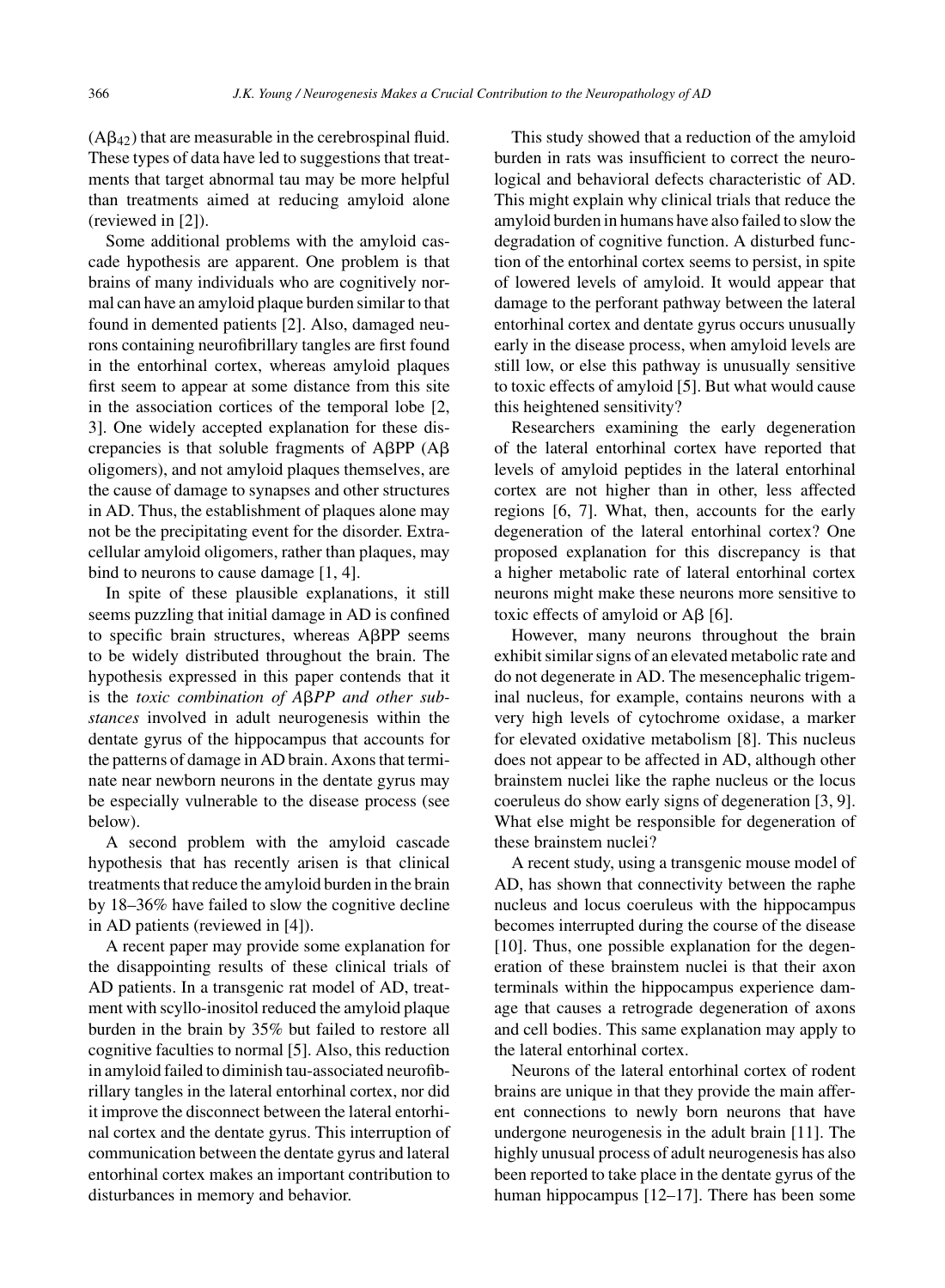$(A\beta_{42})$  that are measurable in the cerebrospinal fluid. These types of data have led to suggestions that treatments that target abnormal tau may be more helpful than treatments aimed at reducing amyloid alone (reviewed in [2]).

Some additional problems with the amyloid cascade hypothesis are apparent. One problem is that brains of many individuals who are cognitively normal can have an amyloid plaque burden similar to that found in demented patients [2]. Also, damaged neurons containing neurofibrillary tangles are first found in the entorhinal cortex, whereas amyloid plaques first seem to appear at some distance from this site in the association cortices of the temporal lobe [2, 3]. One widely accepted explanation for these discrepancies is that soluble fragments of  $A\beta PP$  ( $A\beta$ oligomers), and not amyloid plaques themselves, are the cause of damage to synapses and other structures in AD. Thus, the establishment of plaques alone may not be the precipitating event for the disorder. Extracellular amyloid oligomers, rather than plaques, may bind to neurons to cause damage [1, 4].

In spite of these plausible explanations, it still seems puzzling that initial damage in AD is confined to specific brain structures, whereas ABPP seems to be widely distributed throughout the brain. The hypothesis expressed in this paper contends that it is the toxic combination of A<sub>BPP</sub> and other sub*stances* involved in adult neurogenesis within the dentate gyrus of the hippocampus that accounts for the patterns of damage in AD brain. Axons that terminate near newborn neurons in the dentate gyrus may be especially vulnerable to the disease process (see below).

A second problem with the amyloid cascade hypothesis that has recently arisen is that clinical treatments that reduce the amyloid burden in the brain by 18–36% have failed to slow the cognitive decline in AD patients (reviewed in [4]).

A recent paper may provide some explanation for the disappointing results of these clinical trials of AD patients. In a transgenic rat model of AD, treatment with scyllo-inositol reduced the amyloid plaque burden in the brain by 35% but failed to restore all cognitive faculties to normal [5]. Also, this reduction in amyloid failed to diminish tau-associated neurofibrillary tangles in the lateral entorhinal cortex, nor did it improve the disconnect between the lateral entorhinal cortex and the dentate gyrus. This interruption of communication between the dentate gyrus and lateral entorhinal cortex makes an important contribution to disturbances in memory and behavior.

This study showed that a reduction of the amyloid burden in rats was insufficient to correct the neurological and behavioral defects characteristic of AD. This might explain why clinical trials that reduce the amyloid burden in humans have also failed to slow the degradation of cognitive function. A disturbed function of the entorhinal cortex seems to persist, in spite of lowered levels of amyloid. It would appear that damage to the perforant pathway between the lateral entorhinal cortex and dentate gyrus occurs unusually early in the disease process, when amyloid levels are still low, or else this pathway is unusually sensitive to toxic effects of amyloid [5]. But what would cause this heightened sensitivity?

Researchers examining the early degeneration of the lateral entorhinal cortex have reported that levels of amyloid peptides in the lateral entorhinal cortex are not higher than in other, less affected regions [6, 7]. What, then, accounts for the early degeneration of the lateral entorhinal cortex? One proposed explanation for this discrepancy is that a higher metabolic rate of lateral entorhinal cortex neurons might make these neurons more sensitive to toxic effects of amyloid or  $A\beta$  [6].

However, many neurons throughout the brain exhibit similar signs of an elevated metabolic rate and do not degenerate in AD. The mesencephalic trigeminal nucleus, for example, contains neurons with a very high levels of cytochrome oxidase, a marker for elevated oxidative metabolism [8]. This nucleus does not appear to be affected in AD, although other brainstem nuclei like the raphe nucleus or the locus coeruleus do show early signs of degeneration [3, 9]. What else might be responsible for degeneration of these brainstem nuclei?

A recent study, using a transgenic mouse model of AD, has shown that connectivity between the raphe nucleus and locus coeruleus with the hippocampus becomes interrupted during the course of the disease [10]. Thus, one possible explanation for the degeneration of these brainstem nuclei is that their axon terminals within the hippocampus experience damage that causes a retrograde degeneration of axons and cell bodies. This same explanation may apply to the lateral entorhinal cortex.

Neurons of the lateral entorhinal cortex of rodent brains are unique in that they provide the main afferent connections to newly born neurons that have undergone neurogenesis in the adult brain [11]. The highly unusual process of adult neurogenesis has also been reported to take place in the dentate gyrus of the human hippocampus [12–17]. There has been some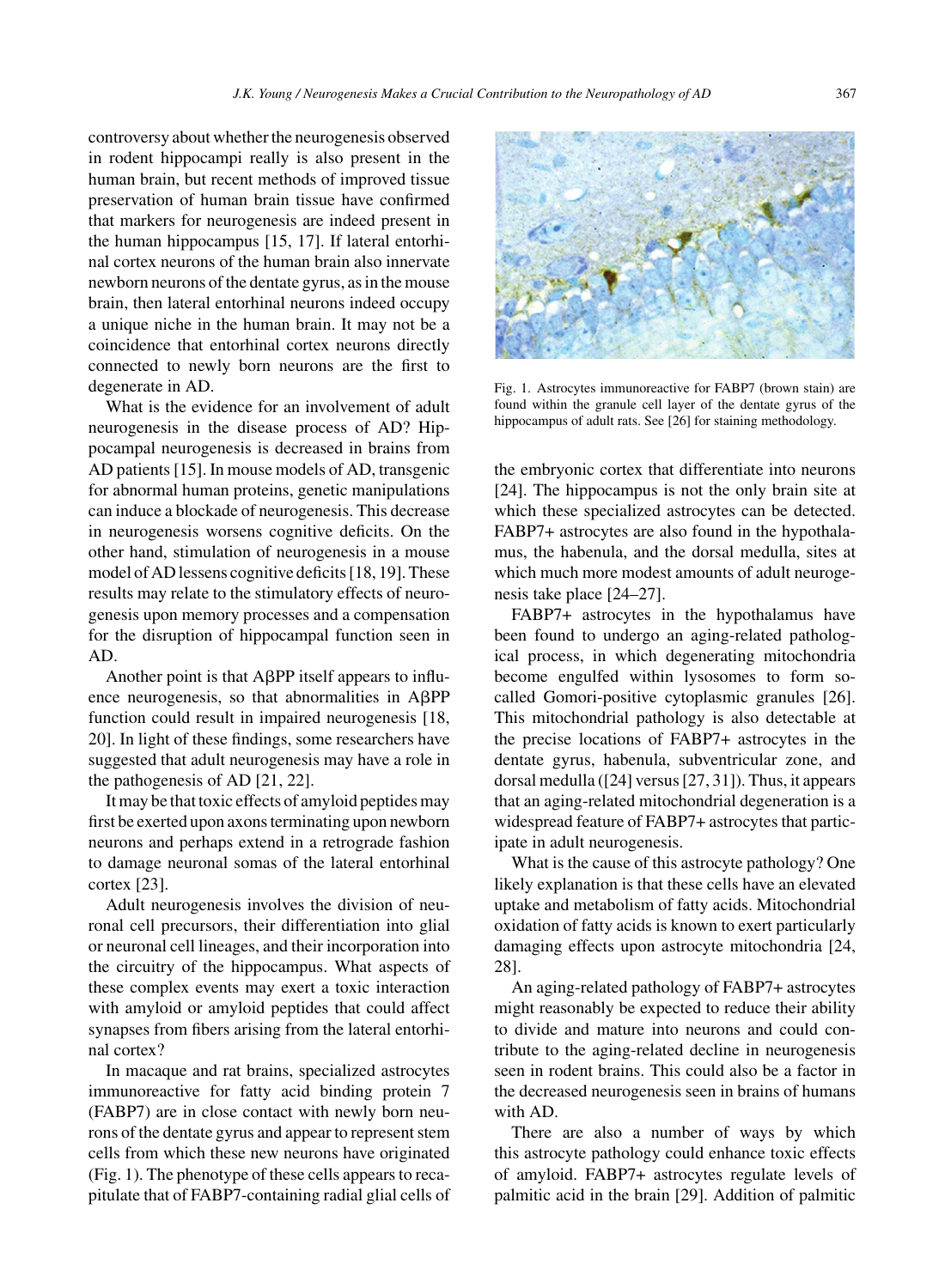controversy about whether the neurogenesis observed in rodent hippocampi really is also present in the human brain, but recent methods of improved tissue preservation of human brain tissue have confirmed that markers for neurogenesis are indeed present in the human hippocampus [15, 17]. If lateral entorhinal cortex neurons of the human brain also innervate newborn neurons of the dentate gyrus, as in the mouse brain, then lateral entorhinal neurons indeed occupy a unique niche in the human brain. It may not be a coincidence that entorhinal cortex neurons directly connected to newly born neurons are the first to degenerate in AD.

What is the evidence for an involvement of adult neurogenesis in the disease process of AD? Hippocampal neurogenesis is decreased in brains from AD patients [15]. In mouse models of AD, transgenic for abnormal human proteins, genetic manipulations can induce a blockade of neurogenesis. This decrease in neurogenesis worsens cognitive deficits. On the other hand, stimulation of neurogenesis in a mouse model of AD lessens cognitive deficits [18, 19]. These results may relate to the stimulatory effects of neurogenesis upon memory processes and a compensation for the disruption of hippocampal function seen in AD.

Another point is that A $\beta$ PP itself appears to influence neurogenesis, so that abnormalities in  $A\beta PP$ function could result in impaired neurogenesis [18, 20]. In light of these findings, some researchers have suggested that adult neurogenesis may have a role in the pathogenesis of AD [21, 22].

It may be that toxic effects of amyloid peptides may first be exerted upon axons terminating upon newborn neurons and perhaps extend in a retrograde fashion to damage neuronal somas of the lateral entorhinal cortex [23].

Adult neurogenesis involves the division of neuronal cell precursors, their differentiation into glial or neuronal cell lineages, and their incorporation into the circuitry of the hippocampus. What aspects of these complex events may exert a toxic interaction with amyloid or amyloid peptides that could affect synapses from fibers arising from the lateral entorhinal cortex?

In macaque and rat brains, specialized astrocytes immunoreactive for fatty acid binding protein 7 (FABP7) are in close contact with newly born neurons of the dentate gyrus and appear to represent stem cells from which these new neurons have originated (Fig. 1). The phenotype of these cells appears to recapitulate that of FABP7-containing radial glial cells of

Fig. 1. Astrocytes immunoreactive for FABP7 (brown stain) are found within the granule cell layer of the dentate gyrus of the hippocampus of adult rats. See [26] for staining methodology.

the embryonic cortex that differentiate into neurons [24]. The hippocampus is not the only brain site at which these specialized astrocytes can be detected. FABP7+ astrocytes are also found in the hypothalamus, the habenula, and the dorsal medulla, sites at which much more modest amounts of adult neurogenesis take place [24–27].

FABP7+ astrocytes in the hypothalamus have been found to undergo an aging-related pathological process, in which degenerating mitochondria become engulfed within lysosomes to form socalled Gomori-positive cytoplasmic granules [26]. This mitochondrial pathology is also detectable at the precise locations of FABP7+ astrocytes in the dentate gyrus, habenula, subventricular zone, and dorsal medulla ([24] versus [27, 31]). Thus, it appears that an aging-related mitochondrial degeneration is a widespread feature of FABP7+ astrocytes that participate in adult neurogenesis.

What is the cause of this astrocyte pathology? One likely explanation is that these cells have an elevated uptake and metabolism of fatty acids. Mitochondrial oxidation of fatty acids is known to exert particularly damaging effects upon astrocyte mitochondria [24, 28].

An aging-related pathology of FABP7+ astrocytes might reasonably be expected to reduce their ability to divide and mature into neurons and could contribute to the aging-related decline in neurogenesis seen in rodent brains. This could also be a factor in the decreased neurogenesis seen in brains of humans with AD.

There are also a number of ways by which this astrocyte pathology could enhance toxic effects of amyloid. FABP7+ astrocytes regulate levels of palmitic acid in the brain [29]. Addition of palmitic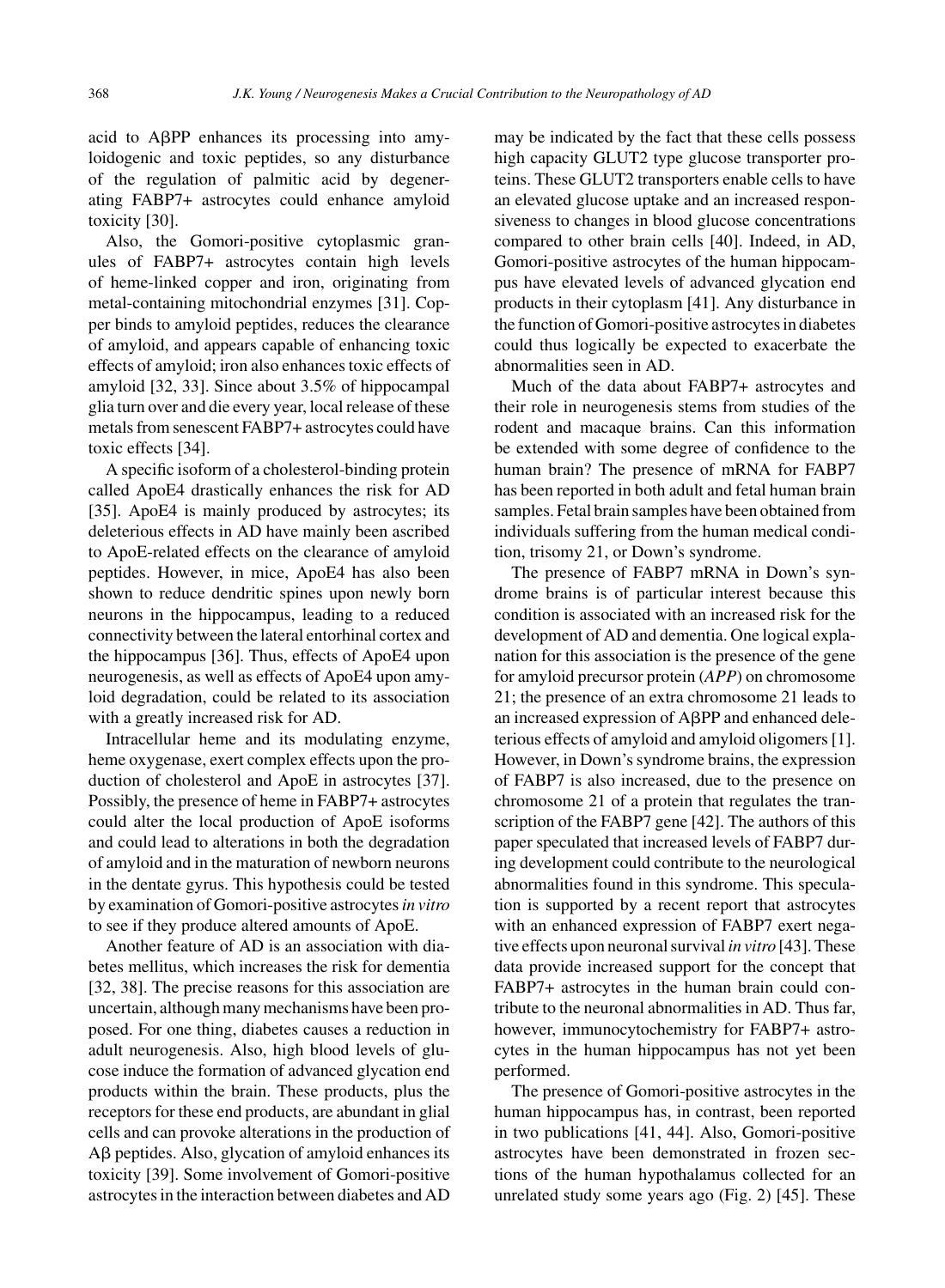acid to  $A\beta PP$  enhances its processing into amyloidogenic and toxic peptides, so any disturbance of the regulation of palmitic acid by degenerating FABP7+ astrocytes could enhance amyloid toxicity [30].

Also, the Gomori-positive cytoplasmic granules of FABP7+ astrocytes contain high levels of heme-linked copper and iron, originating from metal-containing mitochondrial enzymes [31]. Copper binds to amyloid peptides, reduces the clearance of amyloid, and appears capable of enhancing toxic effects of amyloid; iron also enhances toxic effects of amyloid [32, 33]. Since about 3.5% of hippocampal glia turn over and die every year, local release of these metals from senescent FABP7+ astrocytes could have toxic effects [34].

A specific isoform of a cholesterol-binding protein called ApoE4 drastically enhances the risk for AD [35]. ApoE4 is mainly produced by astrocytes; its deleterious effects in AD have mainly been ascribed to ApoE-related effects on the clearance of amyloid peptides. However, in mice, ApoE4 has also been shown to reduce dendritic spines upon newly born neurons in the hippocampus, leading to a reduced connectivity between the lateral entorhinal cortex and the hippocampus [36]. Thus, effects of ApoE4 upon neurogenesis, as well as effects of ApoE4 upon amyloid degradation, could be related to its association with a greatly increased risk for AD.

Intracellular heme and its modulating enzyme, heme oxygenase, exert complex effects upon the production of cholesterol and ApoE in astrocytes [37]. Possibly, the presence of heme in FABP7+ astrocytes could alter the local production of ApoE isoforms and could lead to alterations in both the degradation of amyloid and in the maturation of newborn neurons in the dentate gyrus. This hypothesis could be tested by examination of Gomori-positive astrocytes*in vitro* to see if they produce altered amounts of ApoE.

Another feature of AD is an association with diabetes mellitus, which increases the risk for dementia [32, 38]. The precise reasons for this association are uncertain, although many mechanisms have been proposed. For one thing, diabetes causes a reduction in adult neurogenesis. Also, high blood levels of glucose induce the formation of advanced glycation end products within the brain. These products, plus the receptors for these end products, are abundant in glial cells and can provoke alterations in the production of A $\beta$  peptides. Also, glycation of amyloid enhances its toxicity [39]. Some involvement of Gomori-positive astrocytes in the interaction between diabetes and AD

may be indicated by the fact that these cells possess high capacity GLUT2 type glucose transporter proteins. These GLUT2 transporters enable cells to have an elevated glucose uptake and an increased responsiveness to changes in blood glucose concentrations compared to other brain cells [40]. Indeed, in AD, Gomori-positive astrocytes of the human hippocampus have elevated levels of advanced glycation end products in their cytoplasm [41]. Any disturbance in the function of Gomori-positive astrocytes in diabetes could thus logically be expected to exacerbate the abnormalities seen in AD.

Much of the data about FABP7+ astrocytes and their role in neurogenesis stems from studies of the rodent and macaque brains. Can this information be extended with some degree of confidence to the human brain? The presence of mRNA for FABP7 has been reported in both adult and fetal human brain samples. Fetal brain samples have been obtained from individuals suffering from the human medical condition, trisomy 21, or Down's syndrome.

The presence of FABP7 mRNA in Down's syndrome brains is of particular interest because this condition is associated with an increased risk for the development of AD and dementia. One logical explanation for this association is the presence of the gene for amyloid precursor protein (*APP*) on chromosome 21; the presence of an extra chromosome 21 leads to an increased expression of  $A\beta PP$  and enhanced deleterious effects of amyloid and amyloid oligomers [1]. However, in Down's syndrome brains, the expression of FABP7 is also increased, due to the presence on chromosome 21 of a protein that regulates the transcription of the FABP7 gene [42]. The authors of this paper speculated that increased levels of FABP7 during development could contribute to the neurological abnormalities found in this syndrome. This speculation is supported by a recent report that astrocytes with an enhanced expression of FABP7 exert negative effects upon neuronal survival *in vitro* [43]. These data provide increased support for the concept that FABP7+ astrocytes in the human brain could contribute to the neuronal abnormalities in AD. Thus far, however, immunocytochemistry for FABP7+ astrocytes in the human hippocampus has not yet been performed.

The presence of Gomori-positive astrocytes in the human hippocampus has, in contrast, been reported in two publications [41, 44]. Also, Gomori-positive astrocytes have been demonstrated in frozen sections of the human hypothalamus collected for an unrelated study some years ago (Fig. 2) [45]. These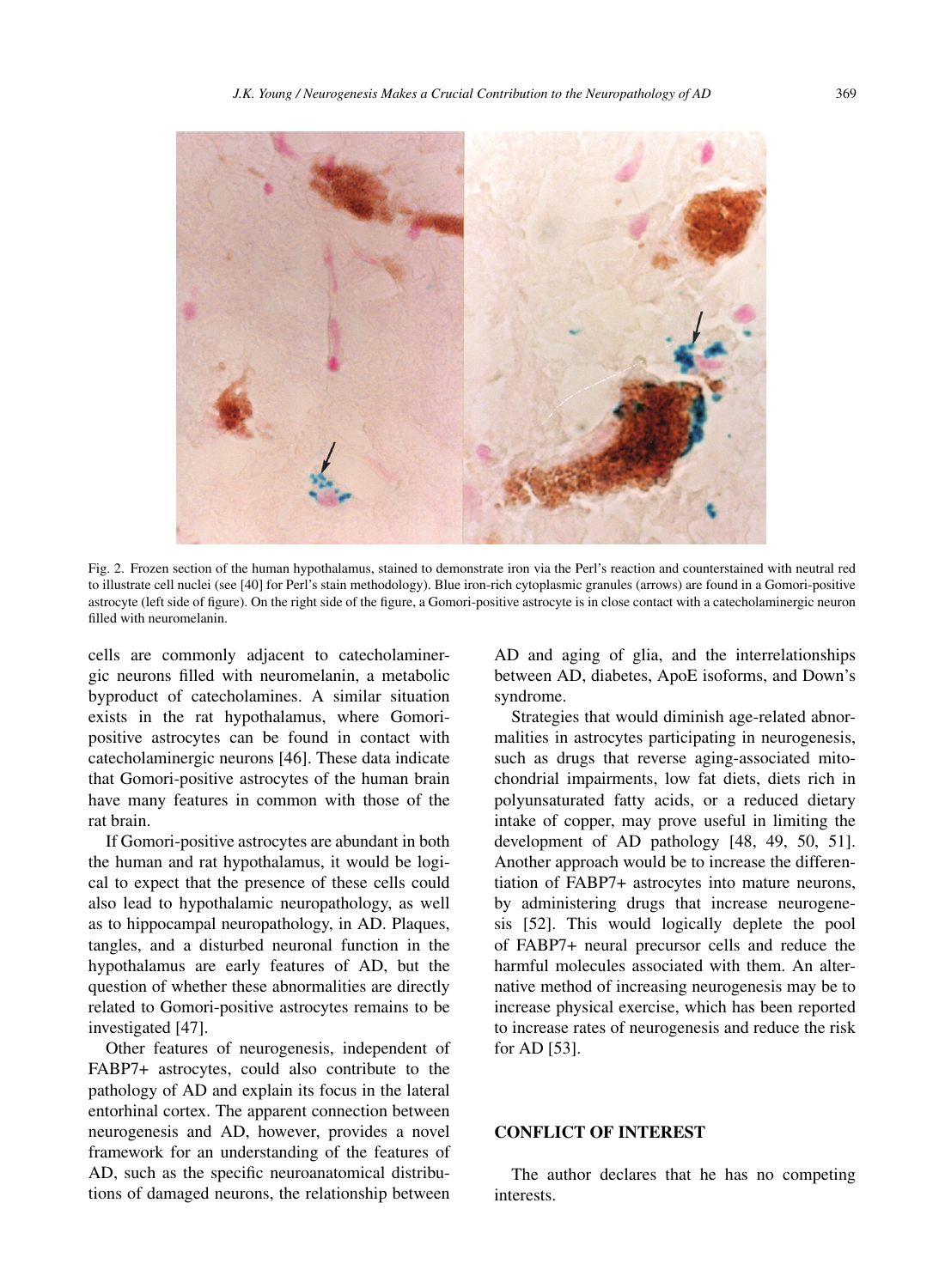

Fig. 2. Frozen section of the human hypothalamus, stained to demonstrate iron via the Perl's reaction and counterstained with neutral red to illustrate cell nuclei (see [40] for Perl's stain methodology). Blue iron-rich cytoplasmic granules (arrows) are found in a Gomori-positive astrocyte (left side of figure). On the right side of the figure, a Gomori-positive astrocyte is in close contact with a catecholaminergic neuron filled with neuromelanin.

cells are commonly adjacent to catecholaminergic neurons filled with neuromelanin, a metabolic byproduct of catecholamines. A similar situation exists in the rat hypothalamus, where Gomoripositive astrocytes can be found in contact with catecholaminergic neurons [46]. These data indicate that Gomori-positive astrocytes of the human brain have many features in common with those of the rat brain.

If Gomori-positive astrocytes are abundant in both the human and rat hypothalamus, it would be logical to expect that the presence of these cells could also lead to hypothalamic neuropathology, as well as to hippocampal neuropathology, in AD. Plaques, tangles, and a disturbed neuronal function in the hypothalamus are early features of AD, but the question of whether these abnormalities are directly related to Gomori-positive astrocytes remains to be investigated [47].

Other features of neurogenesis, independent of FABP7+ astrocytes, could also contribute to the pathology of AD and explain its focus in the lateral entorhinal cortex. The apparent connection between neurogenesis and AD, however, provides a novel framework for an understanding of the features of AD, such as the specific neuroanatomical distributions of damaged neurons, the relationship between AD and aging of glia, and the interrelationships between AD, diabetes, ApoE isoforms, and Down's syndrome.

Strategies that would diminish age-related abnormalities in astrocytes participating in neurogenesis, such as drugs that reverse aging-associated mitochondrial impairments, low fat diets, diets rich in polyunsaturated fatty acids, or a reduced dietary intake of copper, may prove useful in limiting the development of AD pathology [48, 49, 50, 51]. Another approach would be to increase the differentiation of FABP7+ astrocytes into mature neurons, by administering drugs that increase neurogenesis [52]. This would logically deplete the pool of FABP7+ neural precursor cells and reduce the harmful molecules associated with them. An alternative method of increasing neurogenesis may be to increase physical exercise, which has been reported to increase rates of neurogenesis and reduce the risk for AD [53].

## **CONFLICT OF INTEREST**

The author declares that he has no competing interests.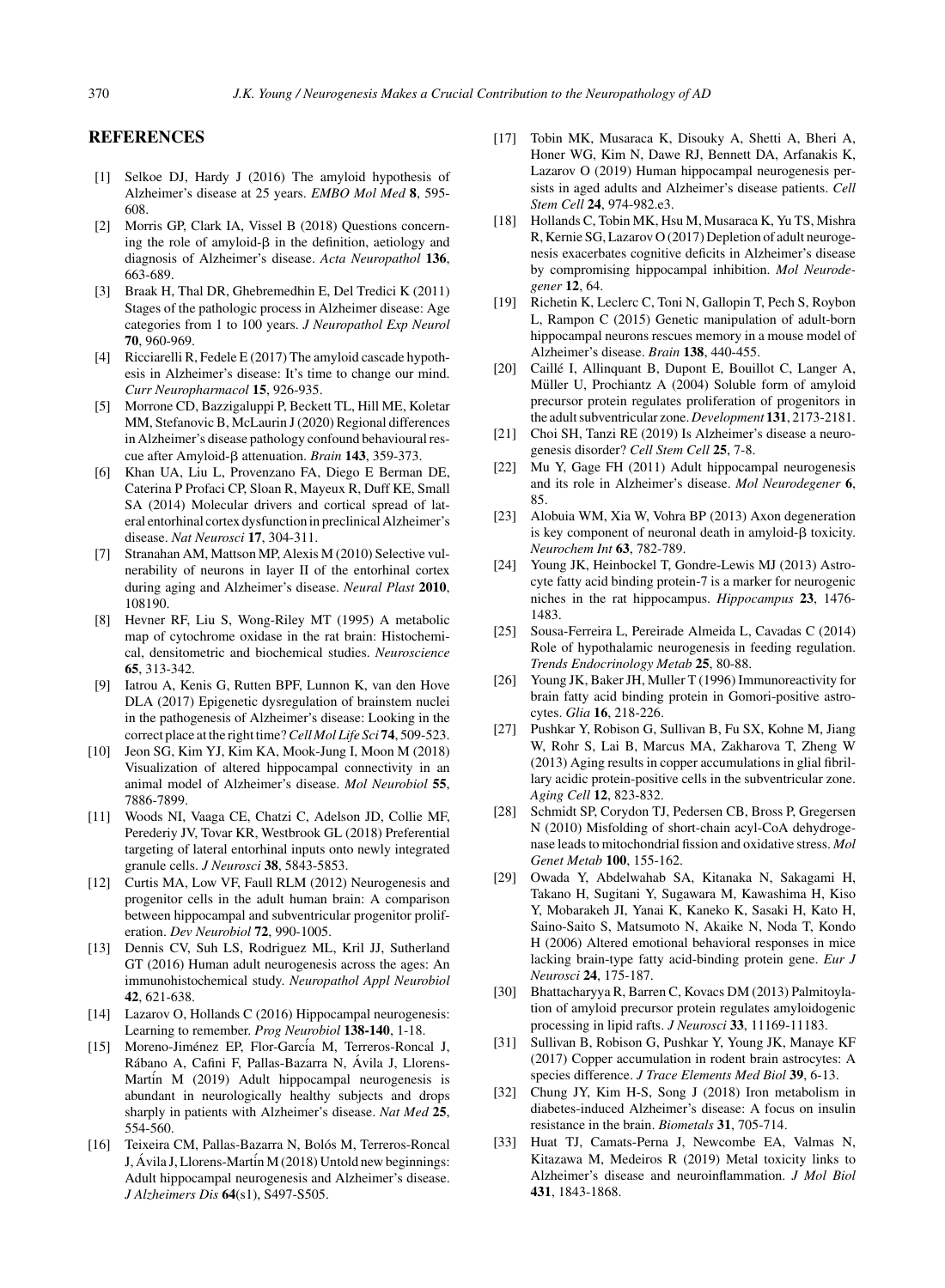## **REFERENCES**

- [1] Selkoe DJ, Hardy J (2016) The amyloid hypothesis of Alzheimer's disease at 25 years. *EMBO Mol Med* **8**, 595- 608.
- [2] Morris GP, Clark IA, Vissel B (2018) Questions concerning the role of amyloid- $\beta$  in the definition, aetiology and diagnosis of Alzheimer's disease. *Acta Neuropathol* **136**, 663-689.
- [3] Braak H, Thal DR, Ghebremedhin E, Del Tredici K (2011) Stages of the pathologic process in Alzheimer disease: Age categories from 1 to 100 years. *J Neuropathol Exp Neurol* **70**, 960-969.
- [4] Ricciarelli R, Fedele E (2017) The amyloid cascade hypothesis in Alzheimer's disease: It's time to change our mind. *Curr Neuropharmacol* **15**, 926-935.
- [5] Morrone CD, Bazzigaluppi P, Beckett TL, Hill ME, Koletar MM, Stefanovic B, McLaurin J (2020) Regional differences in Alzheimer's disease pathology confound behavioural rescue after Amyloid-β attenuation. *Brain* 143, 359-373.
- [6] Khan UA, Liu L, Provenzano FA, Diego E Berman DE, Caterina P Profaci CP, Sloan R, Mayeux R, Duff KE, Small SA (2014) Molecular drivers and cortical spread of lateral entorhinal cortex dysfunction in preclinical Alzheimer's disease. *Nat Neurosci* **17**, 304-311.
- [7] Stranahan AM, Mattson MP, Alexis M (2010) Selective vulnerability of neurons in layer II of the entorhinal cortex during aging and Alzheimer's disease. *Neural Plast* **2010**, 108190.
- [8] Hevner RF, Liu S, Wong-Riley MT (1995) A metabolic map of cytochrome oxidase in the rat brain: Histochemical, densitometric and biochemical studies. *Neuroscience* **65**, 313-342.
- [9] Iatrou A, Kenis G, Rutten BPF, Lunnon K, van den Hove DLA (2017) Epigenetic dysregulation of brainstem nuclei in the pathogenesis of Alzheimer's disease: Looking in the correct place at the right time?*Cell Mol Life Sci* **74**, 509-523.
- [10] Jeon SG, Kim YJ, Kim KA, Mook-Jung I, Moon M (2018) Visualization of altered hippocampal connectivity in an animal model of Alzheimer's disease. *Mol Neurobiol* **55**, 7886-7899.
- [11] Woods NI, Vaaga CE, Chatzi C, Adelson JD, Collie MF, Perederiy JV, Tovar KR, Westbrook GL (2018) Preferential targeting of lateral entorhinal inputs onto newly integrated granule cells. *J Neurosci* **38**, 5843-5853.
- [12] Curtis MA, Low VF, Faull RLM (2012) Neurogenesis and progenitor cells in the adult human brain: A comparison between hippocampal and subventricular progenitor proliferation. *Dev Neurobiol* **72**, 990-1005.
- [13] Dennis CV, Suh LS, Rodriguez ML, Kril JJ, Sutherland GT (2016) Human adult neurogenesis across the ages: An immunohistochemical study. *Neuropathol Appl Neurobiol* **42**, 621-638.
- [14] Lazarov O, Hollands C (2016) Hippocampal neurogenesis: Learning to remember. *Prog Neurobiol* **138-140**, 1-18.
- [15] Moreno-Jiménez EP, Flor-García M, Terreros-Roncal J, Rábano A, Cafini F, Pallas-Bazarra N, Ávila J, Llorens-Martin M (2019) Adult hippocampal neurogenesis is abundant in neurologically healthy subjects and drops sharply in patients with Alzheimer's disease. *Nat Med* **25**, 554-560.
- [16] Teixeira CM, Pallas-Bazarra N, Bolós M, Terreros-Roncal J, Avila J, Llorens-Martin M (2018) Untold new beginnings: Adult hippocampal neurogenesis and Alzheimer's disease. *J Alzheimers Dis* **64**(s1), S497-S505.
- [17] Tobin MK, Musaraca K, Disouky A, Shetti A, Bheri A, Honer WG, Kim N, Dawe RJ, Bennett DA, Arfanakis K, Lazarov O (2019) Human hippocampal neurogenesis persists in aged adults and Alzheimer's disease patients. *Cell Stem Cell* **24**, 974-982.e3.
- [18] Hollands C, Tobin MK, Hsu M, Musaraca K, Yu TS, Mishra R, Kernie SG, Lazarov O (2017) Depletion of adult neurogenesis exacerbates cognitive deficits in Alzheimer's disease by compromising hippocampal inhibition. *Mol Neurodegener* **12**, 64.
- [19] Richetin K, Leclerc C, Toni N, Gallopin T, Pech S, Roybon L, Rampon C (2015) Genetic manipulation of adult-born hippocampal neurons rescues memory in a mouse model of Alzheimer's disease. *Brain* **138**, 440-455.
- [20] Caillé I, Allinquant B, Dupont E, Bouillot C, Langer A, Müller U, Prochiantz A (2004) Soluble form of amyloid precursor protein regulates proliferation of progenitors in the adult subventricular zone.*Development* **131**, 2173-2181.
- [21] Choi SH, Tanzi RE (2019) Is Alzheimer's disease a neurogenesis disorder? *Cell Stem Cell* **25**, 7-8.
- [22] Mu Y, Gage FH (2011) Adult hippocampal neurogenesis and its role in Alzheimer's disease. *Mol Neurodegener* **6**, 85.
- [23] Alobuia WM, Xia W, Vohra BP (2013) Axon degeneration is key component of neuronal death in amyloid- $\beta$  toxicity. *Neurochem Int* **63**, 782-789.
- [24] Young JK, Heinbockel T, Gondre-Lewis MJ (2013) Astrocyte fatty acid binding protein-7 is a marker for neurogenic niches in the rat hippocampus. *Hippocampus* **23**, 1476- 1483.
- [25] Sousa-Ferreira L, Pereirade Almeida L, Cavadas C (2014) Role of hypothalamic neurogenesis in feeding regulation. *Trends Endocrinology Metab* **25**, 80-88.
- [26] Young JK, Baker JH, Muller T (1996) Immunoreactivity for brain fatty acid binding protein in Gomori-positive astrocytes. *Glia* **16**, 218-226.
- [27] Pushkar Y, Robison G, Sullivan B, Fu SX, Kohne M, Jiang W, Rohr S, Lai B, Marcus MA, Zakharova T, Zheng W (2013) Aging results in copper accumulations in glial fibrillary acidic protein-positive cells in the subventricular zone. *Aging Cell* **12**, 823-832.
- [28] Schmidt SP, Corydon TJ, Pedersen CB, Bross P, Gregersen N (2010) Misfolding of short-chain acyl-CoA dehydrogenase leads to mitochondrial fission and oxidative stress. *Mol Genet Metab* **100**, 155-162.
- [29] Owada Y, Abdelwahab SA, Kitanaka N, Sakagami H, Takano H, Sugitani Y, Sugawara M, Kawashima H, Kiso Y, Mobarakeh JI, Yanai K, Kaneko K, Sasaki H, Kato H, Saino-Saito S, Matsumoto N, Akaike N, Noda T, Kondo H (2006) Altered emotional behavioral responses in mice lacking brain-type fatty acid-binding protein gene. *Eur J Neurosci* **24**, 175-187.
- [30] Bhattacharyya R, Barren C, Kovacs DM (2013) Palmitoylation of amyloid precursor protein regulates amyloidogenic processing in lipid rafts. *J Neurosci* **33**, 11169-11183.
- [31] Sullivan B, Robison G, Pushkar Y, Young JK, Manaye KF (2017) Copper accumulation in rodent brain astrocytes: A species difference. *J Trace Elements Med Biol* **39**, 6-13.
- [32] Chung JY, Kim H-S, Song J (2018) Iron metabolism in diabetes-induced Alzheimer's disease: A focus on insulin resistance in the brain. *Biometals* **31**, 705-714.
- [33] Huat TJ, Camats-Perna J, Newcombe EA, Valmas N, Kitazawa M, Medeiros R (2019) Metal toxicity links to Alzheimer's disease and neuroinflammation. *J Mol Biol* **431**, 1843-1868.